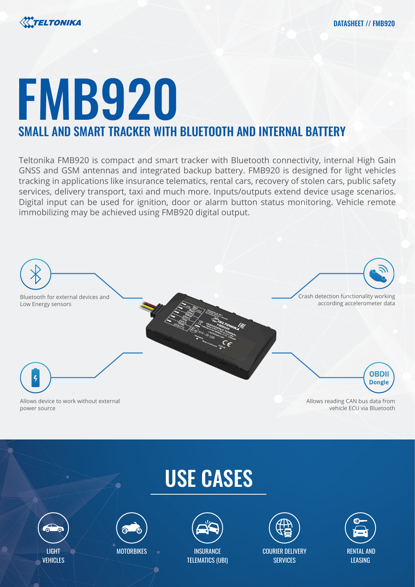



# FMB920 SMALL AND SMART TRACKER WITH BLUETOOTH AND INTERNAL BATTERY

Teltonika FMB920 is compact and smart tracker with Bluetooth connectivity, internal High Gain GNSS and GSM antennas and integrated backup battery. FMB920 is designed for light vehicles tracking in applications like insurance telematics, rental cars, recovery of stolen cars, public safety services, delivery transport, taxi and much more. Inputs/outputs extend device usage scenarios. Digital input can be used for ignition, door or alarm button status monitoring. Vehicle remote immobilizing may be achieved using FMB920 digital output.



# USE CASES





**MOTORBIKES** 



TELEMATICS (UBI)

COURIER DELIVERY **SERVICES** 

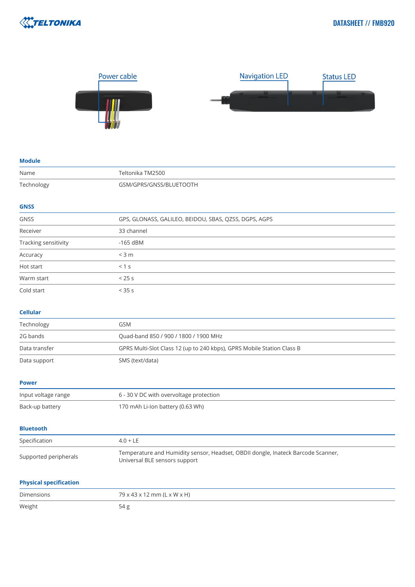



#### **Module**

| Name                          | Teltonika TM2500                                                                                                  |
|-------------------------------|-------------------------------------------------------------------------------------------------------------------|
| Technology                    | GSM/GPRS/GNSS/BLUETOOTH                                                                                           |
|                               |                                                                                                                   |
| <b>GNSS</b>                   |                                                                                                                   |
| <b>GNSS</b>                   | GPS, GLONASS, GALILEO, BEIDOU, SBAS, QZSS, DGPS, AGPS                                                             |
| Receiver                      | 33 channel                                                                                                        |
| Tracking sensitivity          | $-165$ dBM                                                                                                        |
| Accuracy                      | $<$ 3 m                                                                                                           |
| Hot start                     | < 1 s                                                                                                             |
| Warm start                    | < 25s                                                                                                             |
| Cold start                    | < 35 s                                                                                                            |
| <b>Cellular</b>               |                                                                                                                   |
| Technology                    | <b>GSM</b>                                                                                                        |
| 2G bands                      | Quad-band 850 / 900 / 1800 / 1900 MHz                                                                             |
| Data transfer                 | GPRS Multi-Slot Class 12 (up to 240 kbps), GPRS Mobile Station Class B                                            |
| Data support                  | SMS (text/data)                                                                                                   |
| <b>Power</b>                  |                                                                                                                   |
| Input voltage range           | 6 - 30 V DC with overvoltage protection                                                                           |
| Back-up battery               | 170 mAh Li-Ion battery (0.63 Wh)                                                                                  |
| <b>Bluetooth</b>              |                                                                                                                   |
| Specification                 | $4.0 + LE$                                                                                                        |
| Supported peripherals         | Temperature and Humidity sensor, Headset, OBDII dongle, Inateck Barcode Scanner,<br>Universal BLE sensors support |
| <b>Physical specification</b> |                                                                                                                   |
| <b>Dimensions</b>             | 79 x 43 x 12 mm (L x W x H)                                                                                       |
| Weight                        | 54g                                                                                                               |